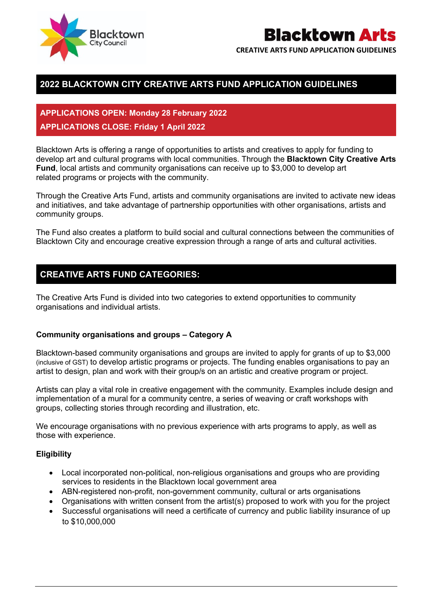

## **Blacktown Arts**

**CREATIVE ARTS FUND APPLICATION GUIDELINES** 

## **2022 BLACKTOWN CITY CREATIVE ARTS FUND APPLICATION GUIDELINES**

## **APPLICATIONS OPEN: Monday 28 February 2022 APPLICATIONS CLOSE: Friday 1 April 2022**

Blacktown Arts is offering a range of opportunities to artists and creatives to apply for funding to develop art and cultural programs with local communities. Through the **Blacktown City Creative Arts Fund**, local artists and community organisations can receive up to \$3,000 to develop art related programs or projects with the community.

Through the Creative Arts Fund, artists and community organisations are invited to activate new ideas and initiatives, and take advantage of partnership opportunities with other organisations, artists and community groups.

The Fund also creates a platform to build social and cultural connections between the communities of Blacktown City and encourage creative expression through a range of arts and cultural activities.

### **CREATIVE ARTS FUND CATEGORIES:**

The Creative Arts Fund is divided into two categories to extend opportunities to community organisations and individual artists.

#### **Community organisations and groups – Category A**

Blacktown-based community organisations and groups are invited to apply for grants of up to \$3,000 (inclusive of GST) to develop artistic programs or projects. The funding enables organisations to pay an artist to design, plan and work with their group/s on an artistic and creative program or project.

Artists can play a vital role in creative engagement with the community. Examples include design and implementation of a mural for a community centre, a series of weaving or craft workshops with groups, collecting stories through recording and illustration, etc.

We encourage organisations with no previous experience with arts programs to apply, as well as those with experience.

#### **Eligibility**

- Local incorporated non-political, non-religious organisations and groups who are providing services to residents in the Blacktown local government area
- ABN-registered non-profit, non-government community, cultural or arts organisations
- Organisations with written consent from the artist(s) proposed to work with you for the project
- Successful organisations will need a certificate of currency and public liability insurance of up to \$10,000,000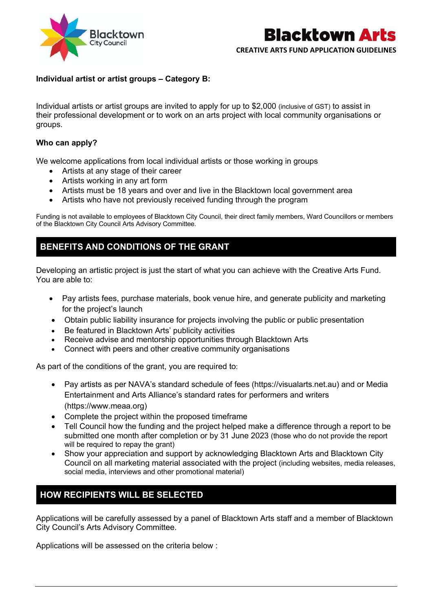

# **Blacktown Arts**

#### **CREATIVE ARTS FUND APPLICATION GUIDELINES**

#### **Individual artist or artist groups – Category B:**

Individual artists or artist groups are invited to apply for up to \$2,000 (inclusive of GST) to assist in their professional development or to work on an arts project with local community organisations or groups.

#### **Who can apply?**

We welcome applications from local individual artists or those working in groups

- Artists at any stage of their career
- Artists working in any art form
- Artists must be 18 years and over and live in the Blacktown local government area
- Artists who have not previously received funding through the program

Funding is not available to employees of Blacktown City Council, their direct family members, Ward Councillors or members of the Blacktown City Council Arts Advisory Committee.

#### **BENEFITS AND CONDITIONS OF THE GRANT**

Developing an artistic project is just the start of what you can achieve with the Creative Arts Fund. You are able to:

- Pay artists fees, purchase materials, book venue hire, and generate publicity and marketing for the project's launch
- Obtain public liability insurance for projects involving the public or public presentation
- Be featured in Blacktown Arts' publicity activities
- Receive advise and mentorship opportunities through Blacktown Arts
- Connect with peers and other creative community organisations

As part of the conditions of the grant, you are required to:

- Pay artists as per NAVA's standard schedule of fees (https://visualarts.net.au) and or Media Entertainment and Arts Alliance's standard rates for performers and writers (https://www.meaa.org)
- Complete the project within the proposed timeframe
- Tell Council how the funding and the project helped make a difference through a report to be submitted one month after completion or by 31 June 2023 (those who do not provide the report will be required to repay the grant)
- Show your appreciation and support by acknowledging Blacktown Arts and Blacktown City Council on all marketing material associated with the project (including websites, media releases, social media, interviews and other promotional material)

## **HOW RECIPIENTS WILL BE SELECTED**

Applications will be carefully assessed by a panel of Blacktown Arts staff and a member of Blacktown City Council's Arts Advisory Committee.

Applications will be assessed on the criteria below :